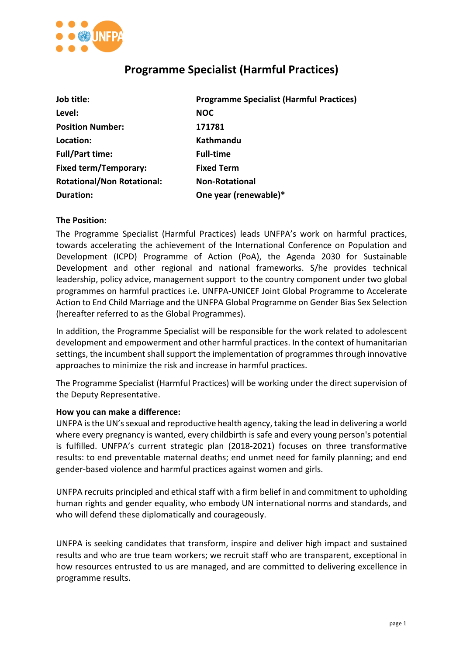

# **Programme Specialist (Harmful Practices)**

| Job title:                        | <b>Programme Specialist (Harmful Practices)</b> |
|-----------------------------------|-------------------------------------------------|
| Level:                            | <b>NOC</b>                                      |
| <b>Position Number:</b>           | 171781                                          |
| Location:                         | Kathmandu                                       |
| <b>Full/Part time:</b>            | <b>Full-time</b>                                |
| <b>Fixed term/Temporary:</b>      | <b>Fixed Term</b>                               |
| <b>Rotational/Non Rotational:</b> | <b>Non-Rotational</b>                           |
| <b>Duration:</b>                  | One year (renewable)*                           |

## **The Position:**

The Programme Specialist (Harmful Practices) leads UNFPA's work on harmful practices, towards accelerating the achievement of the International Conference on Population and Development (ICPD) Programme of Action (PoA), the Agenda 2030 for Sustainable Development and other regional and national frameworks. S/he provides technical leadership, policy advice, management support to the country component under two global programmes on harmful practices i.e. UNFPA-UNICEF Joint Global Programme to Accelerate Action to End Child Marriage and the UNFPA Global Programme on Gender Bias Sex Selection (hereafter referred to as the Global Programmes).

In addition, the Programme Specialist will be responsible for the work related to adolescent development and empowerment and other harmful practices. In the context of humanitarian settings, the incumbent shall support the implementation of programmes through innovative approaches to minimize the risk and increase in harmful practices.

The Programme Specialist (Harmful Practices) will be working under the direct supervision of the Deputy Representative.

#### **How you can make a difference:**

UNFPA is the UN's sexual and reproductive health agency, taking the lead in delivering a world where every pregnancy is wanted, every childbirth is safe and every young person's potential is fulfilled. UNFPA's current strategic plan (2018-2021) focuses on three transformative results: to end preventable maternal deaths; end unmet need for family planning; and end gender-based violence and harmful practices against women and girls.

UNFPA recruits principled and ethical staff with a firm belief in and commitment to upholding human rights and gender equality, who embody UN international norms and standards, and who will defend these diplomatically and courageously.

UNFPA is seeking candidates that transform, inspire and deliver high impact and sustained results and who are true team workers; we recruit staff who are transparent, exceptional in how resources entrusted to us are managed, and are committed to delivering excellence in programme results.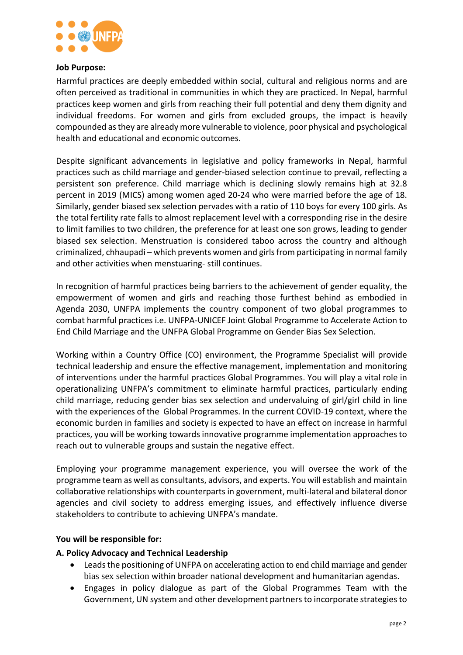

#### **Job Purpose:**

Harmful practices are deeply embedded within social, cultural and religious norms and are often perceived as traditional in communities in which they are practiced. In Nepal, harmful practices keep women and girls from reaching their full potential and deny them dignity and individual freedoms. For women and girls from excluded groups, the impact is heavily compounded asthey are already more vulnerable to violence, poor physical and psychological health and educational and economic outcomes.

Despite significant advancements in legislative and policy frameworks in Nepal, harmful practices such as child marriage and gender-biased selection continue to prevail, reflecting a persistent son preference. Child marriage which is declining slowly remains high at 32.8 percent in 2019 (MICS) among women aged 20-24 who were married before the age of 18. Similarly, gender biased sex selection pervades with a ratio of 110 boys for every 100 girls. As the total fertility rate falls to almost replacement level with a corresponding rise in the desire to limit families to two children, the preference for at least one son grows, leading to gender biased sex selection. Menstruation is considered taboo across the country and although criminalized, chhaupadi – which prevents women and girls from participating in normal family and other activities when menstuaring- still continues.

In recognition of harmful practices being barriers to the achievement of gender equality, the empowerment of women and girls and reaching those furthest behind as embodied in Agenda 2030, UNFPA implements the country component of two global programmes to combat harmful practices i.e. UNFPA-UNICEF Joint Global Programme to Accelerate Action to End Child Marriage and the UNFPA Global Programme on Gender Bias Sex Selection.

Working within a Country Office (CO) environment, the Programme Specialist will provide technical leadership and ensure the effective management, implementation and monitoring of interventions under the harmful practices Global Programmes. You will play a vital role in operationalizing UNFPA's commitment to eliminate harmful practices, particularly ending child marriage, reducing gender bias sex selection and undervaluing of girl/girl child in line with the experiences of the Global Programmes. In the current COVID-19 context, where the economic burden in families and society is expected to have an effect on increase in harmful practices, you will be working towards innovative programme implementation approaches to reach out to vulnerable groups and sustain the negative effect.

Employing your programme management experience, you will oversee the work of the programme team as well as consultants, advisors, and experts. You will establish and maintain collaborative relationships with counterpartsin government, multi-lateral and bilateral donor agencies and civil society to address emerging issues, and effectively influence diverse stakeholders to contribute to achieving UNFPA's mandate.

## **You will be responsible for:**

## **A. Policy Advocacy and Technical Leadership**

- Leads the positioning of UNFPA on accelerating action to end child marriage and gender bias sex selection within broader national development and humanitarian agendas.
- Engages in policy dialogue as part of the Global Programmes Team with the Government, UN system and other development partnersto incorporate strategiesto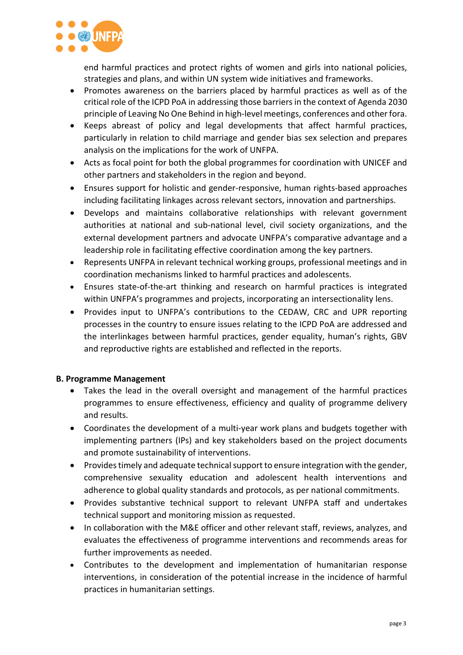

end harmful practices and protect rights of women and girls into national policies, strategies and plans, and within UN system wide initiatives and frameworks.

- Promotes awareness on the barriers placed by harmful practices as well as of the critical role of the ICPD PoA in addressing those barriersin the context of Agenda 2030 principle of Leaving No One Behind in high-level meetings, conferences and other fora.
- Keeps abreast of policy and legal developments that affect harmful practices, particularly in relation to child marriage and gender bias sex selection and prepares analysis on the implications for the work of UNFPA.
- Acts as focal point for both the global programmes for coordination with UNICEF and other partners and stakeholders in the region and beyond.
- Ensures support for holistic and gender-responsive, human rights-based approaches including facilitating linkages across relevant sectors, innovation and partnerships.
- Develops and maintains collaborative relationships with relevant government authorities at national and sub-national level, civil society organizations, and the external development partners and advocate UNFPA's comparative advantage and a leadership role in facilitating effective coordination among the key partners.
- Represents UNFPA in relevant technical working groups, professional meetings and in coordination mechanisms linked to harmful practices and adolescents.
- Ensures state-of-the-art thinking and research on harmful practices is integrated within UNFPA's programmes and projects, incorporating an intersectionality lens.
- Provides input to UNFPA's contributions to the CEDAW, CRC and UPR reporting processes in the country to ensure issues relating to the ICPD PoA are addressed and the interlinkages between harmful practices, gender equality, human's rights, GBV and reproductive rights are established and reflected in the reports.

# **B. Programme Management**

- Takes the lead in the overall oversight and management of the harmful practices programmes to ensure effectiveness, efficiency and quality of programme delivery and results.
- Coordinates the development of a multi-year work plans and budgets together with implementing partners (IPs) and key stakeholders based on the project documents and promote sustainability of interventions.
- Provides timely and adequate technical support to ensure integration with the gender, comprehensive sexuality education and adolescent health interventions and adherence to global quality standards and protocols, as per national commitments.
- Provides substantive technical support to relevant UNFPA staff and undertakes technical support and monitoring mission as requested.
- In collaboration with the M&E officer and other relevant staff, reviews, analyzes, and evaluates the effectiveness of programme interventions and recommends areas for further improvements as needed.
- Contributes to the development and implementation of humanitarian response interventions, in consideration of the potential increase in the incidence of harmful practices in humanitarian settings.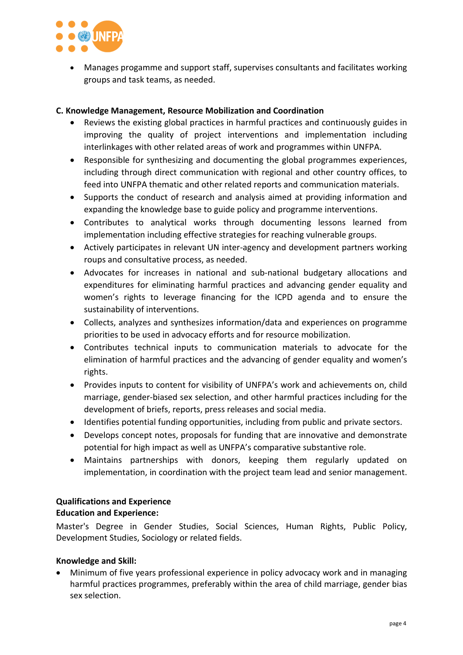

• Manages progamme and support staff, supervises consultants and facilitates working groups and task teams, as needed.

# **C. Knowledge Management, Resource Mobilization and Coordination**

- Reviews the existing global practices in harmful practices and continuously guides in improving the quality of project interventions and implementation including interlinkages with other related areas of work and programmes within UNFPA.
- Responsible for synthesizing and documenting the global programmes experiences, including through direct communication with regional and other country offices, to feed into UNFPA thematic and other related reports and communication materials.
- Supports the conduct of research and analysis aimed at providing information and expanding the knowledge base to guide policy and programme interventions.
- Contributes to analytical works through documenting lessons learned from implementation including effective strategies for reaching vulnerable groups.
- Actively participates in relevant UN inter-agency and development partners working roups and consultative process, as needed.
- Advocates for increases in national and sub-national budgetary allocations and expenditures for eliminating harmful practices and advancing gender equality and women's rights to leverage financing for the ICPD agenda and to ensure the sustainability of interventions.
- Collects, analyzes and synthesizes information/data and experiences on programme priorities to be used in advocacy efforts and for resource mobilization.
- Contributes technical inputs to communication materials to advocate for the elimination of harmful practices and the advancing of gender equality and women's rights.
- Provides inputs to content for visibility of UNFPA's work and achievements on, child marriage, gender-biased sex selection, and other harmful practices including for the development of briefs, reports, press releases and social media.
- Identifies potential funding opportunities, including from public and private sectors.
- Develops concept notes, proposals for funding that are innovative and demonstrate potential for high impact as well as UNFPA's comparative substantive role.
- Maintains partnerships with donors, keeping them regularly updated on implementation, in coordination with the project team lead and senior management.

# **Qualifications and Experience**

## **Education and Experience:**

Master's Degree in Gender Studies, Social Sciences, Human Rights, Public Policy, Development Studies, Sociology or related fields.

## **Knowledge and Skill:**

• Minimum of five years professional experience in policy advocacy work and in managing harmful practices programmes, preferably within the area of child marriage, gender bias sex selection.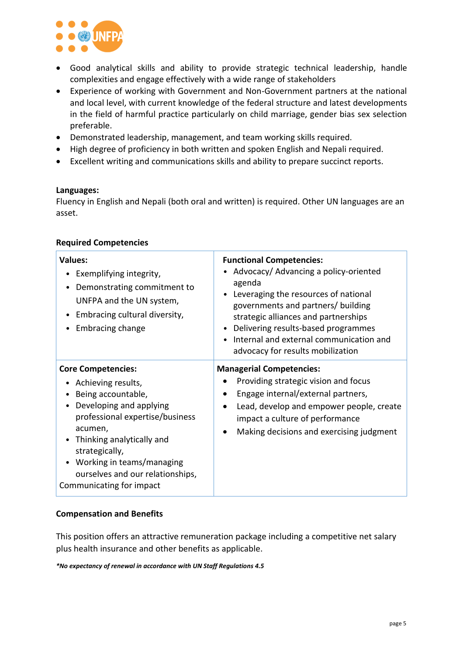

- Good analytical skills and ability to provide strategic technical leadership, handle complexities and engage effectively with a wide range of stakeholders
- Experience of working with Government and Non-Government partners at the national and local level, with current knowledge of the federal structure and latest developments in the field of harmful practice particularly on child marriage, gender bias sex selection preferable.
- Demonstrated leadership, management, and team working skills required.
- High degree of proficiency in both written and spoken English and Nepali required.
- Excellent writing and communications skills and ability to prepare succinct reports.

### **Languages:**

Fluency in English and Nepali (both oral and written) is required. Other UN languages are an asset.

| <b>Values:</b><br>Exemplifying integrity,<br>Demonstrating commitment to<br>$\bullet$<br>UNFPA and the UN system,<br>Embracing cultural diversity,<br>٠<br>Embracing change                                                                                                                     | <b>Functional Competencies:</b><br>Advocacy/ Advancing a policy-oriented<br>agenda<br>Leveraging the resources of national<br>governments and partners/ building<br>strategic alliances and partnerships<br>Delivering results-based programmes<br>Internal and external communication and<br>advocacy for results mobilization |
|-------------------------------------------------------------------------------------------------------------------------------------------------------------------------------------------------------------------------------------------------------------------------------------------------|---------------------------------------------------------------------------------------------------------------------------------------------------------------------------------------------------------------------------------------------------------------------------------------------------------------------------------|
| <b>Core Competencies:</b><br>Achieving results,<br>Being accountable,<br>Developing and applying<br>professional expertise/business<br>acumen,<br>Thinking analytically and<br>strategically,<br>Working in teams/managing<br>٠<br>ourselves and our relationships,<br>Communicating for impact | <b>Managerial Competencies:</b><br>Providing strategic vision and focus<br>Engage internal/external partners,<br>Lead, develop and empower people, create<br>impact a culture of performance<br>Making decisions and exercising judgment                                                                                        |

### **Required Competencies**

## **Compensation and Benefits**

This position offers an attractive remuneration package including a competitive net salary plus health insurance and other benefits as applicable.

*\*No expectancy of renewal in accordance with UN Staff Regulations 4.5*